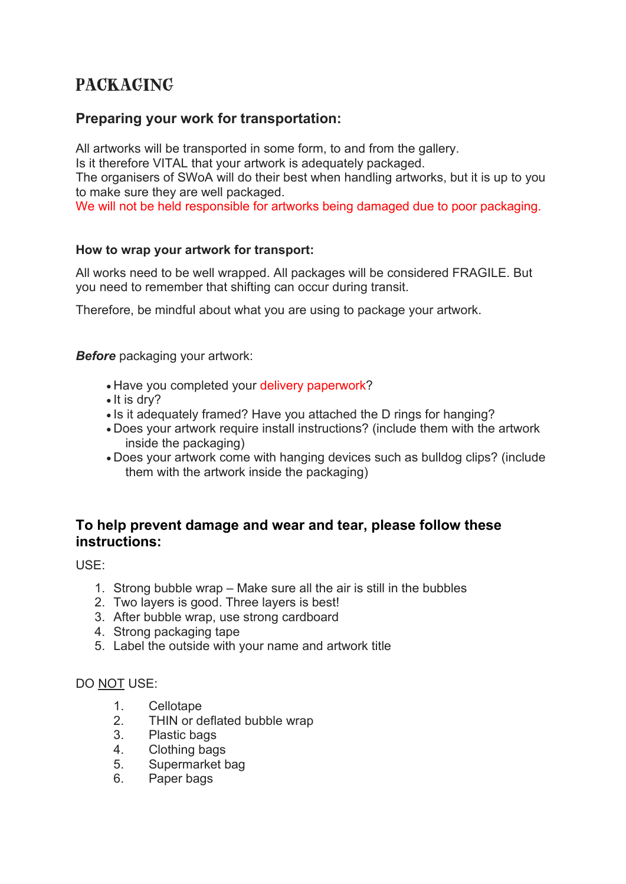# PACKAGING

# **Preparing your work for transportation:**

All artworks will be transported in some form, to and from the gallery. Is it therefore VITAL that your artwork is adequately packaged.

The organisers of SWoA will do their best when handling artworks, but it is up to you to make sure they are well packaged.

We will not be held responsible for artworks being damaged due to poor packaging.

#### **How to wrap your artwork for transport:**

All works need to be well wrapped. All packages will be considered FRAGILE. But you need to remember that shifting can occur during transit.

Therefore, be mindful about what you are using to package your artwork.

*Before* packaging your artwork:

- Have you completed your delivery paperwork?
- It is dry?
- Is it adequately framed? Have you attached the D rings for hanging?
- Does your artwork require install instructions? (include them with the artwork inside the packaging)
- Does your artwork come with hanging devices such as bulldog clips? (include them with the artwork inside the packaging)

# **To help prevent damage and wear and tear, please follow these instructions:**

USE:

- 1. Strong bubble wrap Make sure all the air is still in the bubbles
- 2. Two layers is good. Three layers is best!
- 3. After bubble wrap, use strong cardboard
- 4. Strong packaging tape
- 5. Label the outside with your name and artwork title

#### DO NOT USE:

- 1. Cellotape
- 2. THIN or deflated bubble wrap
- 3. Plastic bags
- 4. Clothing bags
- 5. Supermarket bag
- 6. Paper bags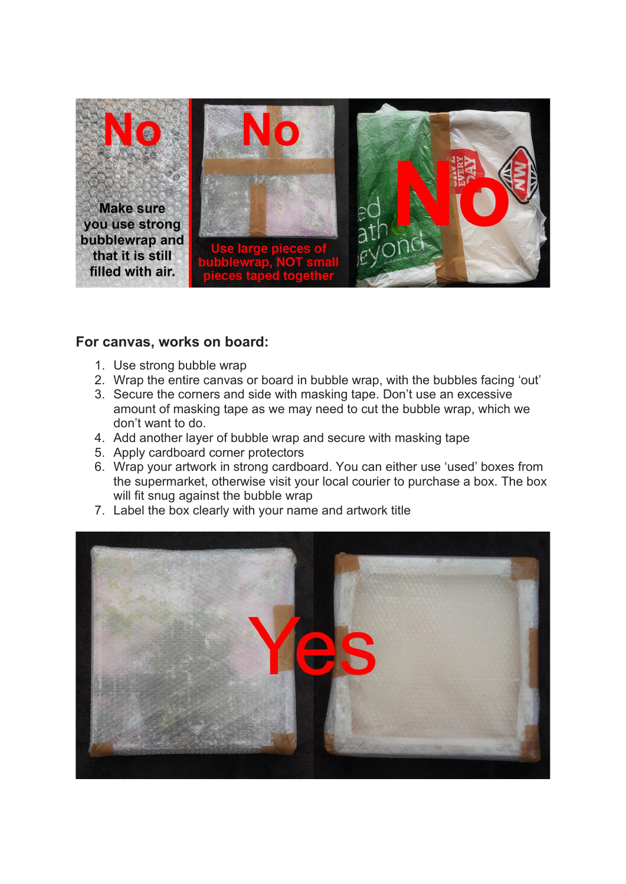

### **For canvas, works on board:**

- 1. Use strong bubble wrap
- 2. Wrap the entire canvas or board in bubble wrap, with the bubbles facing 'out'
- 3. Secure the corners and side with masking tape. Don't use an excessive amount of masking tape as we may need to cut the bubble wrap, which we don't want to do.
- 4. Add another layer of bubble wrap and secure with masking tape
- 5. Apply cardboard corner protectors
- 6. Wrap your artwork in strong cardboard. You can either use 'used' boxes from the supermarket, otherwise visit your local courier to purchase a box. The box will fit snug against the bubble wrap
- 7. Label the box clearly with your name and artwork title

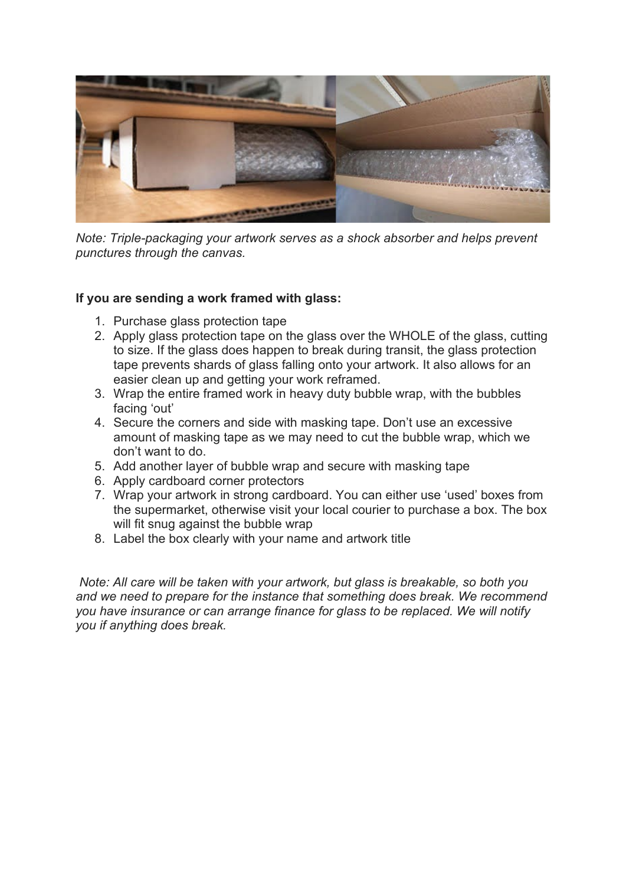

*Note: Triple-packaging your artwork serves as a shock absorber and helps prevent punctures through the canvas.*

#### **If you are sending a work framed with glass:**

- 1. Purchase glass protection tape
- 2. Apply glass protection tape on the glass over the WHOLE of the glass, cutting to size. If the glass does happen to break during transit, the glass protection tape prevents shards of glass falling onto your artwork. It also allows for an easier clean up and getting your work reframed.
- 3. Wrap the entire framed work in heavy duty bubble wrap, with the bubbles facing 'out'
- 4. Secure the corners and side with masking tape. Don't use an excessive amount of masking tape as we may need to cut the bubble wrap, which we don't want to do.
- 5. Add another layer of bubble wrap and secure with masking tape
- 6. Apply cardboard corner protectors
- 7. Wrap your artwork in strong cardboard. You can either use 'used' boxes from the supermarket, otherwise visit your local courier to purchase a box. The box will fit snug against the bubble wrap
- 8. Label the box clearly with your name and artwork title

*Note: All care will be taken with your artwork, but glass is breakable, so both you and we need to prepare for the instance that something does break. We recommend you have insurance or can arrange finance for glass to be replaced. We will notify you if anything does break.*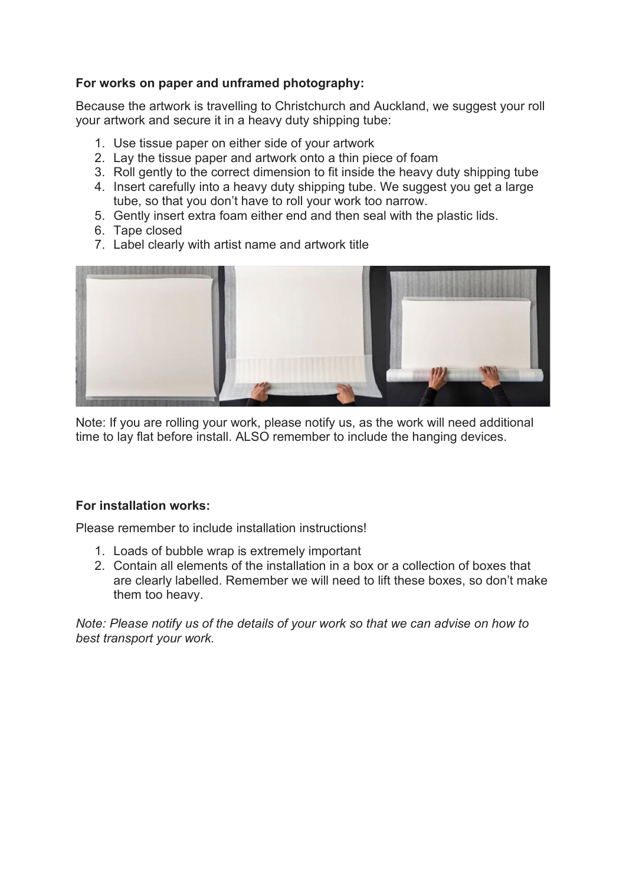#### **For works on paper and unframed photography:**

Because the artwork is travelling to Christchurch and Auckland, we suggest your roll your artwork and secure it in a heavy duty shipping tube:

- 1. Use tissue paper on either side of your artwork
- 2. Lay the tissue paper and artwork onto a thin piece of foam
- 3. Roll gently to the correct dimension to fit inside the heavy duty shipping tube
- 4. Insert carefully into a heavy duty shipping tube. We suggest you get a large tube, so that you don't have to roll your work too narrow.
- 5. Gently insert extra foam either end and then seal with the plastic lids.
- 6. Tape closed
- 7. Label clearly with artist name and artwork title



Note: If you are rolling your work, please notify us, as the work will need additional time to lay flat before install. ALSO remember to include the hanging devices.

#### **For installation works:**

Please remember to include installation instructions!

- 1. Loads of bubble wrap is extremely important
- 2. Contain all elements of the installation in a box or a collection of boxes that are clearly labelled. Remember we will need to lift these boxes, so don't make them too heavy.

*Note: Please notify us of the details of your work so that we can advise on how to best transport your work.*